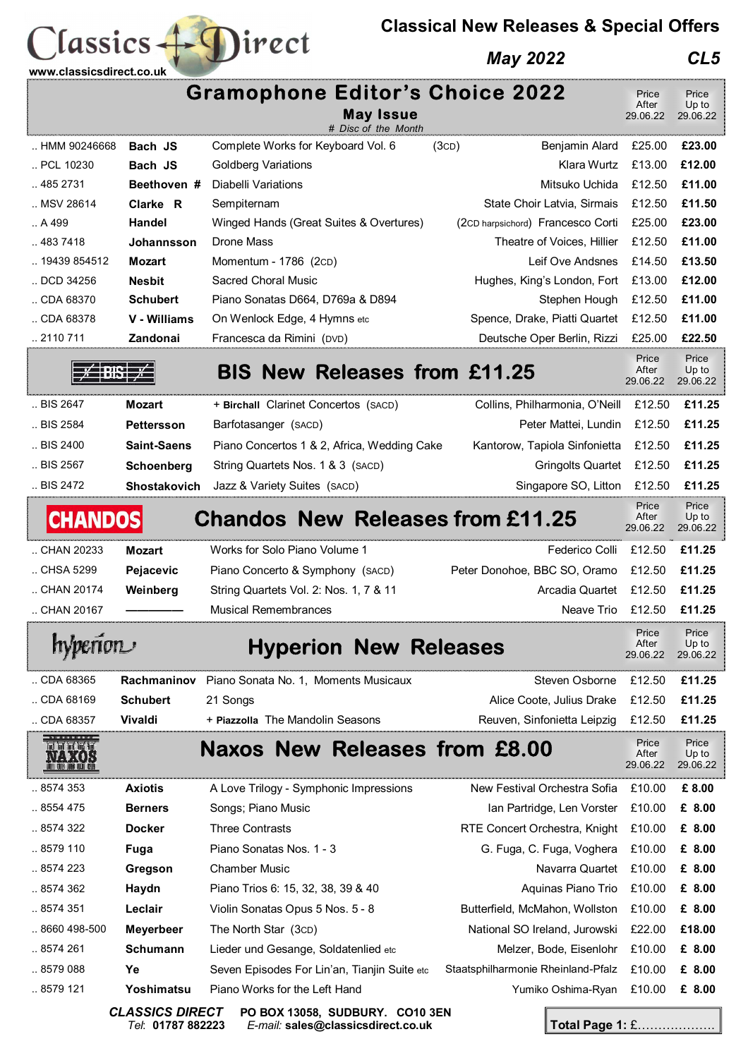## **Classical New Releases & Special Offers**

## *May 2022 CL5*



 $lassics + \bigcapirect$ 

*Tel*: **01787 882223** *E-mail:* **sales@classicsdirect.co.uk Total Page 1:** £……………….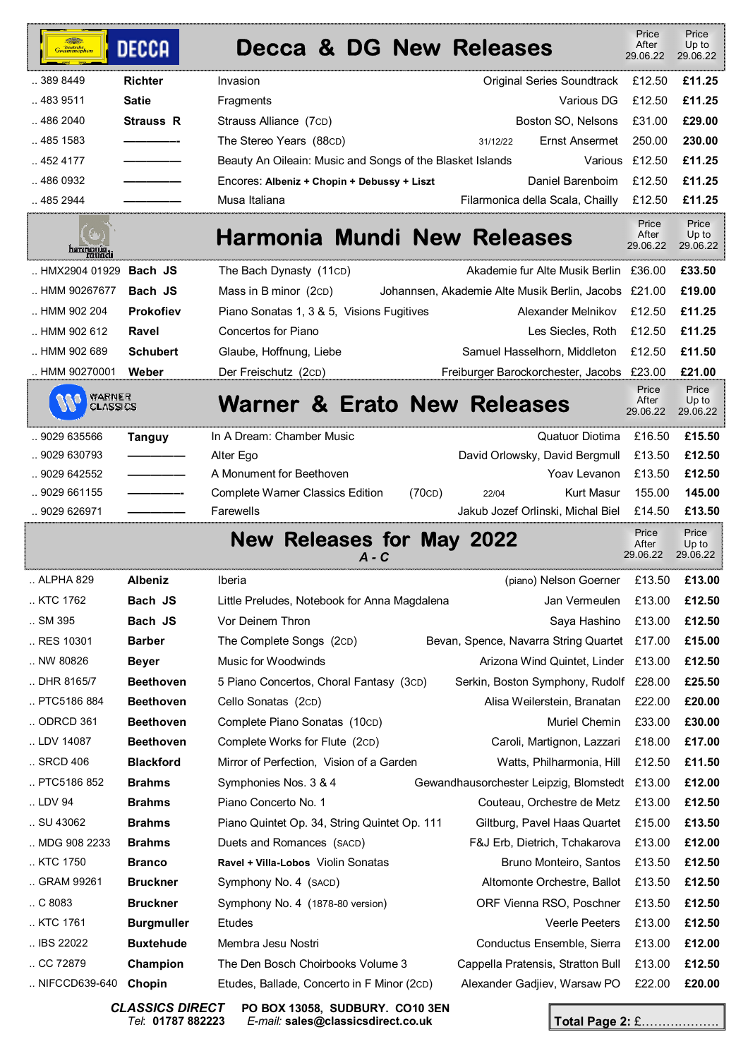| Grammophon                                                              | <b>DECCA</b>      | <b>Decca &amp; DG New Releases</b>                                                |                       | Price<br>After<br>29.06.22 | Price<br>Up to<br>29.06.22 |
|-------------------------------------------------------------------------|-------------------|-----------------------------------------------------------------------------------|-----------------------|----------------------------|----------------------------|
| 389 8449                                                                | <b>Richter</b>    | Invasion<br>Original Series Soundtrack                                            |                       | £12.50                     | £11.25                     |
| 483 9511                                                                | <b>Satie</b>      | Fragments                                                                         | Various DG            | £12.50                     | £11.25                     |
| 486 2040                                                                | <b>Strauss R</b>  | Boston SO, Nelsons<br>Strauss Alliance (7cD)                                      |                       | £31.00                     | £29.00                     |
| 485 1583                                                                |                   | The Stereo Years (88CD)<br>31/12/22                                               | Ernst Ansermet        | 250.00                     | 230.00                     |
| 452 4177                                                                |                   | Beauty An Oileain: Music and Songs of the Blasket Islands                         | Various               | £12.50                     | £11.25                     |
| 486 0932                                                                |                   | Encores: Albeniz + Chopin + Debussy + Liszt                                       | Daniel Barenboim      | £12.50                     | £11.25                     |
| 485 2944                                                                |                   | Musa Italiana<br>Filarmonica della Scala, Chailly                                 |                       | £12.50                     | £11.25                     |
| harmonia<br>mundi                                                       |                   | <b>Harmonia Mundi New Releases</b>                                                |                       | Price<br>After<br>29.06.22 | Price<br>Up to<br>29.06.22 |
| HMX2904 01929                                                           | Bach JS           | The Bach Dynasty (11cD)<br>Akademie fur Alte Musik Berlin £36.00                  |                       |                            | £33.50                     |
| HMM 90267677                                                            | Bach JS           | Mass in B minor (2CD)<br>Johannsen, Akademie Alte Musik Berlin, Jacobs £21.00     |                       |                            | £19.00                     |
| HMM 902 204                                                             | <b>Prokofiev</b>  | Piano Sonatas 1, 3 & 5, Visions Fugitives<br>Alexander Melnikov                   |                       | £12.50                     | £11.25                     |
| HMM 902 612                                                             | Ravel             | Concertos for Piano                                                               | Les Siecles, Roth     | £12.50                     | £11.25                     |
| HMM 902 689                                                             | <b>Schubert</b>   | Glaube, Hoffnung, Liebe<br>Samuel Hasselhorn, Middleton                           |                       | £12.50                     | £11.50                     |
| . HMM 90270001                                                          | Weber             | Freiburger Barockorchester, Jacobs £23.00<br>Der Freischutz (2cD)                 |                       |                            | £21.00                     |
| WARNER<br>CLASSICS                                                      |                   | Warner & Erato New Releases                                                       |                       | Price<br>After<br>29.06.22 | Price<br>Up to<br>29.06.22 |
| 9029 635566                                                             | <b>Tanguy</b>     | In A Dream: Chamber Music                                                         | Quatuor Diotima       | £16.50                     | £15.50                     |
| 9029 630793                                                             |                   | David Orlowsky, David Bergmull<br>Alter Ego                                       |                       | £13.50                     | £12.50                     |
| 9029 642552                                                             |                   | A Monument for Beethoven                                                          | Yoav Levanon          | £13.50                     | £12.50                     |
| 9029 661155                                                             |                   | <b>Complete Warner Classics Edition</b><br>(70CD)<br>22/04                        | Kurt Masur            | 155.00                     | 145.00                     |
| . 9029 626971                                                           |                   | Farewells<br>Jakub Jozef Orlinski, Michal Biel                                    |                       | £14.50                     | £13.50                     |
| Price<br><b>New Releases for May 2022</b><br>After<br>29.06.22<br>A - C |                   |                                                                                   |                       |                            | Price<br>Up to<br>29.06.22 |
| ALPHA 829                                                               | <b>Albeniz</b>    | (piano) Nelson Goerner<br>Iberia                                                  |                       | £13.50                     | £13.00                     |
| KTC 1762                                                                | Bach JS           | Little Preludes, Notebook for Anna Magdalena                                      | Jan Vermeulen         | £13.00                     | £12.50                     |
| SM 395                                                                  | Bach JS           | Vor Deinem Thron                                                                  | Saya Hashino          | £13.00                     | £12.50                     |
| RES 10301                                                               | <b>Barber</b>     | The Complete Songs (2cD)<br>Bevan, Spence, Navarra String Quartet £17.00          |                       |                            | £15.00                     |
| NW 80826                                                                | <b>Beyer</b>      | Music for Woodwinds<br>Arizona Wind Quintet, Linder £13.00                        |                       |                            | £12.50                     |
| DHR 8165/7                                                              | <b>Beethoven</b>  | 5 Piano Concertos, Choral Fantasy (3cD)<br>Serkin, Boston Symphony, Rudolf £28.00 |                       |                            | £25.50                     |
| PTC5186 884                                                             | <b>Beethoven</b>  | Cello Sonatas (2cD)<br>Alisa Weilerstein, Branatan                                |                       | £22.00                     | £20.00                     |
| ODRCD 361                                                               | <b>Beethoven</b>  | Complete Piano Sonatas (10cD)                                                     | Muriel Chemin         | £33.00                     | £30.00                     |
| LDV 14087                                                               | <b>Beethoven</b>  | Complete Works for Flute (2cD)<br>Caroli, Martignon, Lazzari                      |                       | £18.00                     | £17.00                     |
| SRCD 406                                                                | <b>Blackford</b>  | Mirror of Perfection, Vision of a Garden<br>Watts, Philharmonia, Hill             |                       | £12.50                     | £11.50                     |
| PTC5186 852                                                             | <b>Brahms</b>     | Symphonies Nos. 3 & 4<br>Gewandhausorchester Leipzig, Blomstedt £13.00            |                       |                            | £12.00                     |
| LDV 94                                                                  | <b>Brahms</b>     | Piano Concerto No. 1<br>Couteau, Orchestre de Metz                                |                       | £13.00                     | £12.50                     |
| SU 43062                                                                | <b>Brahms</b>     | Piano Quintet Op. 34, String Quintet Op. 111<br>Giltburg, Pavel Haas Quartet      |                       | £15.00                     | £13.50                     |
| MDG 908 2233                                                            | <b>Brahms</b>     | Duets and Romances (SACD)<br>F&J Erb, Dietrich, Tchakarova                        |                       | £13.00                     | £12.00                     |
| KTC 1750                                                                | <b>Branco</b>     | Ravel + Villa-Lobos Violin Sonatas<br>Bruno Monteiro, Santos                      |                       | £13.50                     | £12.50                     |
| GRAM 99261                                                              | <b>Bruckner</b>   | Symphony No. 4 (SACD)<br>Altomonte Orchestre, Ballot                              |                       | £13.50                     | £12.50                     |
| . C8083                                                                 | <b>Bruckner</b>   | Symphony No. 4 (1878-80 version)<br>ORF Vienna RSO, Poschner                      |                       | £13.50                     | £12.50                     |
| KTC 1761                                                                | <b>Burgmuller</b> | Etudes                                                                            | <b>Veerle Peeters</b> | £13.00                     | £12.50                     |
| IBS 22022                                                               | <b>Buxtehude</b>  | Membra Jesu Nostri<br>Conductus Ensemble, Sierra                                  |                       | £13.00                     | £12.00                     |
| CC 72879                                                                |                   |                                                                                   |                       |                            |                            |
|                                                                         | Champion          | The Den Bosch Choirbooks Volume 3<br>Cappella Pratensis, Stratton Bull            |                       | £13.00                     | £12.50                     |

*CLASSICS DIRECT* **PO BOX 13058, SUDBURY. CO10 3EN**  *Tel*: **01787 882223** *E-mail:* **sales@classicsdirect.co.uk**

**Total Page 2:** £……………….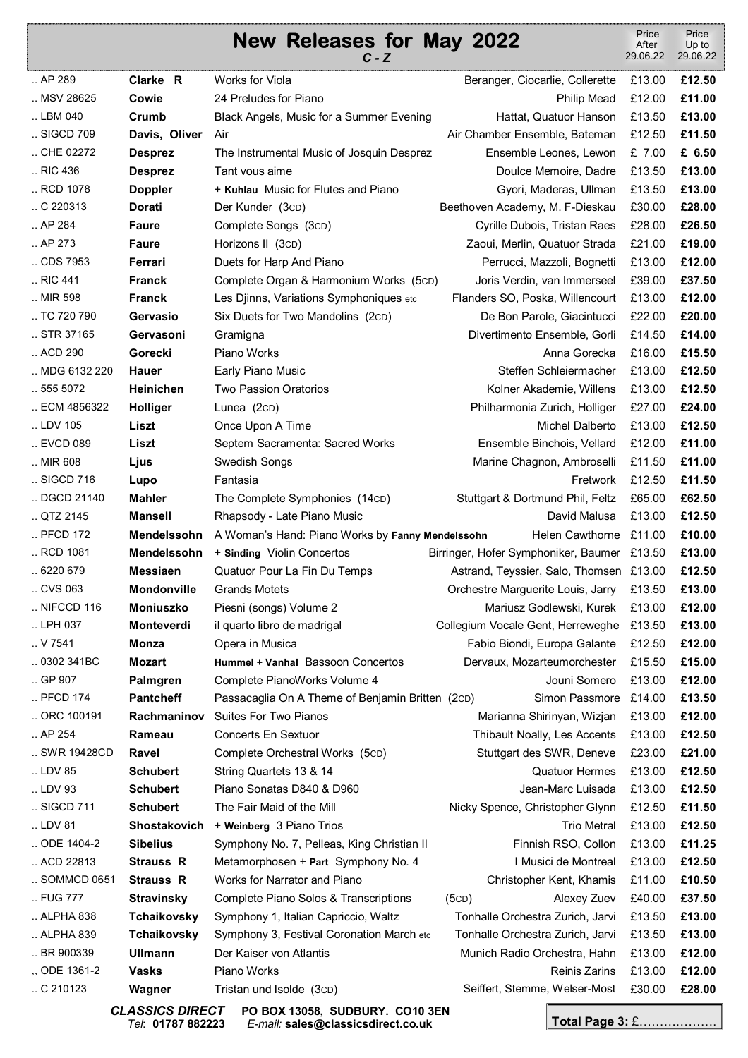## **New Releases for May 2022**   $\overline{C}$  -  $\overline{C}$  Price After 29.06.22 .. AP 289 **Clarke R** Works for Viola Beranger, Ciocarlie, Collerette £13.00 **£12.50**  .. MSV 28625 **Cowie** 24 Preludes for Piano Philip Mead £12.00 **£11.00**

|                     | <b>UUWIC</b>       | 24   IGIUUCS IUI   IGIIU                         | <b>THILL IVICAY</b>                         | LIL.UU | <u>211.00</u> |
|---------------------|--------------------|--------------------------------------------------|---------------------------------------------|--------|---------------|
| LBM 040             | Crumb              | Black Angels, Music for a Summer Evening         | Hattat, Quatuor Hanson                      | £13.50 | £13.00        |
| SIGCD 709           | Davis, Oliver      | Air                                              | Air Chamber Ensemble, Bateman               | £12.50 | £11.50        |
| CHE 02272           | <b>Desprez</b>     | The Instrumental Music of Josquin Desprez        | Ensemble Leones, Lewon                      | £ 7.00 | £ 6.50        |
| RIC 436             | <b>Desprez</b>     | Tant vous aime                                   | Doulce Memoire, Dadre                       | £13.50 | £13.00        |
| RCD 1078            | <b>Doppler</b>     | + Kuhlau Music for Flutes and Piano              | Gyori, Maderas, Ullman                      | £13.50 | £13.00        |
| $\ldots$ C 220313   | Dorati             | Der Kunder (3cD)                                 | Beethoven Academy, M. F-Dieskau             | £30.00 | £28.00        |
| AP 284              | <b>Faure</b>       | Complete Songs (3cD)                             | Cyrille Dubois, Tristan Raes                | £28.00 | £26.50        |
| . A P 273           | <b>Faure</b>       | Horizons II (3CD)                                | Zaoui, Merlin, Quatuor Strada               | £21.00 | £19.00        |
| CDS 7953            | Ferrari            | Duets for Harp And Piano                         | Perrucci, Mazzoli, Bognetti                 | £13.00 | £12.00        |
| RIC 441             | <b>Franck</b>      | Complete Organ & Harmonium Works (5cD)           | Joris Verdin, van Immerseel                 | £39.00 | £37.50        |
| MIR 598             | <b>Franck</b>      | Les Djinns, Variations Symphoniques etc          | Flanders SO, Poska, Willencourt             | £13.00 | £12.00        |
| TC 720 790          | Gervasio           | Six Duets for Two Mandolins (2cD)                | De Bon Parole, Giacintucci                  | £22.00 | £20.00        |
| STR 37165           | Gervasoni          | Gramigna                                         | Divertimento Ensemble, Gorli                | £14.50 | £14.00        |
| ACD 290             | Gorecki            | Piano Works                                      | Anna Gorecka                                | £16.00 | £15.50        |
| MDG 6132 220        | <b>Hauer</b>       | Early Piano Music                                | Steffen Schleiermacher                      | £13.00 | £12.50        |
| .5555072            | Heinichen          | <b>Two Passion Oratorios</b>                     | Kolner Akademie, Willens                    | £13.00 | £12.50        |
| ECM 4856322         | Holliger           | Lunea (2cD)                                      | Philharmonia Zurich, Holliger               | £27.00 | £24.00        |
| LDV 105             | Liszt              | Once Upon A Time                                 | Michel Dalberto                             | £13.00 | £12.50        |
| EVCD 089            | Liszt              | Septem Sacramenta: Sacred Works                  | Ensemble Binchois, Vellard                  | £12.00 | £11.00        |
| MIR 608             | Ljus               | Swedish Songs                                    | Marine Chagnon, Ambroselli                  | £11.50 | £11.00        |
| SIGCD 716           | Lupo               | Fantasia                                         | Fretwork                                    | £12.50 | £11.50        |
| DGCD 21140          | <b>Mahler</b>      | The Complete Symphonies (14cD)                   | Stuttgart & Dortmund Phil, Feltz            | £65.00 | £62.50        |
| $.$ QTZ 2145        | <b>Mansell</b>     | Rhapsody - Late Piano Music                      | David Malusa                                | £13.00 | £12.50        |
| PFCD 172            | Mendelssohn        | A Woman's Hand: Piano Works by Fanny Mendelssohn | Helen Cawthorne £11.00                      |        | £10.00        |
| RCD 1081            | Mendelssohn        | + Sinding Violin Concertos                       | Birringer, Hofer Symphoniker, Baumer £13.50 |        | £13.00        |
| .6220679            | <b>Messiaen</b>    | Quatuor Pour La Fin Du Temps                     | Astrand, Teyssier, Salo, Thomsen £13.00     |        | £12.50        |
| CVS 063             | <b>Mondonville</b> | <b>Grands Motets</b>                             | Orchestre Marguerite Louis, Jarry           | £13.50 | £13.00        |
| $\ldots$ NIFCCD 116 | <b>Moniuszko</b>   | Piesni (songs) Volume 2                          | Mariusz Godlewski, Kurek                    | £13.00 | £12.00        |
| LPH 037             | Monteverdi         | il quarto libro de madrigal                      | Collegium Vocale Gent, Herreweghe £13.50    |        | £13.00        |
| . V7541             | Monza              | Opera in Musica                                  | Fabio Biondi, Europa Galante                | £12.50 | £12.00        |
| 0302 341 BC         | Mozart             | Hummel + Vanhal Bassoon Concertos                | Dervaux, Mozarteumorchester £15.50          |        | £15.00        |
| $\,$ . GP 907       | <b>Palmgren</b>    | Complete PianoWorks Volume 4                     | Jouni Somero                                | £13.00 | £12.00        |
| PFCD 174            | <b>Pantcheff</b>   | Passacaglia On A Theme of Benjamin Britten (2cD) | Simon Passmore £14.00                       |        | £13.50        |
| ORC 100191          | Rachmaninov        | Suites For Two Pianos                            | Marianna Shirinyan, Wizjan                  | £13.00 | £12.00        |
| $.$ AP 254          | Rameau             | <b>Concerts En Sextuor</b>                       | Thibault Noally, Les Accents                | £13.00 | £12.50        |
| SWR 19428CD         | <b>Ravel</b>       | Complete Orchestral Works (5cD)                  | Stuttgart des SWR, Deneve                   | £23.00 | £21.00        |
| LDV 85              | <b>Schubert</b>    | String Quartets 13 & 14                          | <b>Quatuor Hermes</b>                       | £13.00 | £12.50        |
| LDV 93              | <b>Schubert</b>    | Piano Sonatas D840 & D960                        | Jean-Marc Luisada                           | £13.00 | £12.50        |
| SIGCD 711           | <b>Schubert</b>    | The Fair Maid of the Mill                        | Nicky Spence, Christopher Glynn             | £12.50 | £11.50        |
| LDV 81              | Shostakovich       | + Weinberg 3 Piano Trios                         | <b>Trio Metral</b>                          | £13.00 | £12.50        |
| ODE 1404-2          | <b>Sibelius</b>    | Symphony No. 7, Pelleas, King Christian II       | Finnish RSO, Collon                         | £13.00 | £11.25        |
| ACD 22813           | <b>Strauss R</b>   | Metamorphosen + Part Symphony No. 4              | I Musici de Montreal                        | £13.00 | £12.50        |
| SOMMCD 0651         | <b>Strauss R</b>   | Works for Narrator and Piano                     | Christopher Kent, Khamis                    | £11.00 | £10.50        |
| FUG 777             | <b>Stravinsky</b>  | Complete Piano Solos & Transcriptions            | (5CD)<br>Alexey Zuev                        | £40.00 | £37.50        |
| ALPHA 838           | Tchaikovsky        | Symphony 1, Italian Capriccio, Waltz             | Tonhalle Orchestra Zurich, Jarvi            | £13.50 | £13.00        |
| ALPHA 839           | Tchaikovsky        | Symphony 3, Festival Coronation March etc        | Tonhalle Orchestra Zurich, Jarvi            | £13.50 | £13.00        |
| BR 900339           | <b>Ullmann</b>     | Der Kaiser von Atlantis                          | Munich Radio Orchestra, Hahn                | £13.00 | £12.00        |
| ,, ODE 1361-2       | <b>Vasks</b>       | Piano Works                                      | <b>Reinis Zarins</b>                        | £13.00 | £12.00        |
| . C210123           | Wagner             | Tristan und Isolde (3cD)                         | Seiffert, Stemme, Welser-Most               | £30.00 | £28.00        |
|                     |                    | ACCICC DIDECT DO DOV 42050 CUDDUDY CO40 2FM      |                                             |        |               |

*CLASSICS DIRECT* **PO BOX 13058, SUDBURY. CO10 3EN**  *Tel*: **01787 882223** *E-mail:* **sales@classicsdirect.co.uk**

**Total Page 3:** £……………….

Price Up to 29.06.22